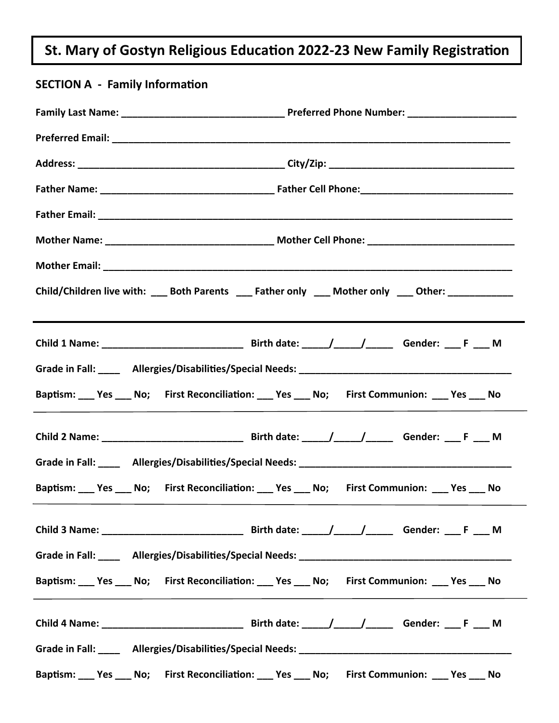# **St. Mary of Gostyn Religious EducaƟon 2022-23 New Family RegistraƟon**

| <b>SECTION A - Family Information</b>                                                                          |                                                                                                    |  |  |  |
|----------------------------------------------------------------------------------------------------------------|----------------------------------------------------------------------------------------------------|--|--|--|
|                                                                                                                |                                                                                                    |  |  |  |
|                                                                                                                |                                                                                                    |  |  |  |
|                                                                                                                |                                                                                                    |  |  |  |
|                                                                                                                |                                                                                                    |  |  |  |
|                                                                                                                |                                                                                                    |  |  |  |
|                                                                                                                |                                                                                                    |  |  |  |
|                                                                                                                |                                                                                                    |  |  |  |
|                                                                                                                | Child/Children live with: ___ Both Parents ___ Father only ___ Mother only ___ Other: ____________ |  |  |  |
|                                                                                                                |                                                                                                    |  |  |  |
|                                                                                                                |                                                                                                    |  |  |  |
|                                                                                                                | Baptism: ___ Yes ___ No; First Reconciliation: ___ Yes ___ No; First Communion: ___ Yes ___ No     |  |  |  |
|                                                                                                                |                                                                                                    |  |  |  |
| Grade in Fall: Allergies/Disabilities/Special Needs: Allergies Allergies Allergies/Disabilities/Special Needs: |                                                                                                    |  |  |  |
|                                                                                                                | Baptism: ___ Yes ___ No; First Reconciliation: ___ Yes ___ No; First Communion: ___ Yes ___ No     |  |  |  |
|                                                                                                                |                                                                                                    |  |  |  |
|                                                                                                                |                                                                                                    |  |  |  |
|                                                                                                                | Baptism: ___ Yes ___ No; First Reconciliation: ___ Yes ___ No; First Communion: ___ Yes ___ No     |  |  |  |
|                                                                                                                |                                                                                                    |  |  |  |
|                                                                                                                |                                                                                                    |  |  |  |
|                                                                                                                | Baptism: ___ Yes ___ No; First Reconciliation: ___ Yes ___ No; First Communion: ___ Yes ___ No     |  |  |  |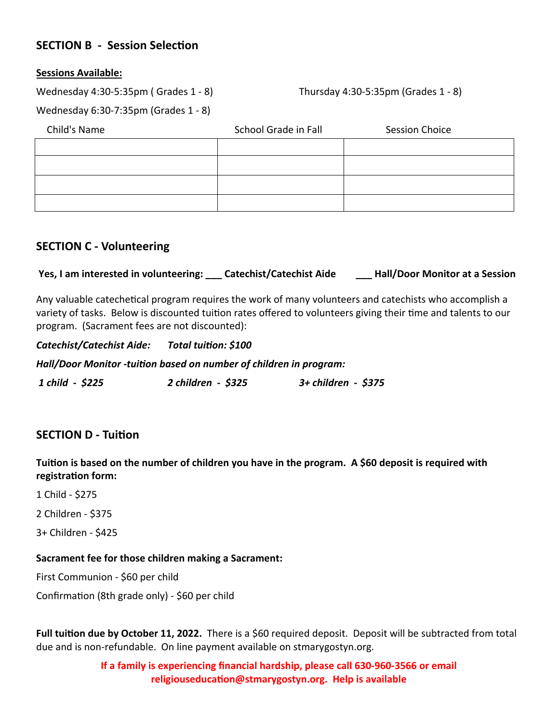## **SECTION B - Session Selection**

#### **Sessions Available:**

Wednesday 4:30-5:35pm ( Grades 1 - 8)

Thursday 4:30-5:35pm (Grades 1 - 8)

Wednesday 6:30-7:35pm (Grades 1 - 8)

| Child's Name | School Grade in Fall | <b>Session Choice</b> |
|--------------|----------------------|-----------------------|
|              |                      |                       |
|              |                      |                       |
|              |                      |                       |
|              |                      |                       |

## **SECTION C - Volunteering**

**Yes, I am interested in volunteering: \_\_\_ Catechist/Catechist Aide \_\_\_ Hall/Door Monitor at a Session**

Any valuable catechetical program requires the work of many volunteers and catechists who accomplish a variety of tasks. Below is discounted tuition rates offered to volunteers giving their time and talents to our program. (Sacrament fees are not discounted):

*Catechist/Catechist Aide: Total tuiƟon: \$100* 

*Hall/Door Monitor -tuiƟon based on number of children in program:* 

 *1 child - \$225 2 children - \$325 3+ children - \$375* 

## **SECTION D - Tuition**

**TuiƟon is based on the number of children you have in the program. A \$60 deposit is required with registraƟon form:** 

1 Child - \$275

2 Children - \$375

3+ Children - \$425

#### **Sacrament fee for those children making a Sacrament:**

First Communion - \$60 per child

Confirmation (8th grade only) - \$60 per child

**Full tuiƟon due by October 11, 2022.** There is a \$60 required deposit. Deposit will be subtracted from total due and is non-refundable. On line payment available on stmarygostyn.org.

> **If a family is experiencing financial hardship, please call 630-960-3566 or email religiouseducaƟon@stmarygostyn.org. Help is available**